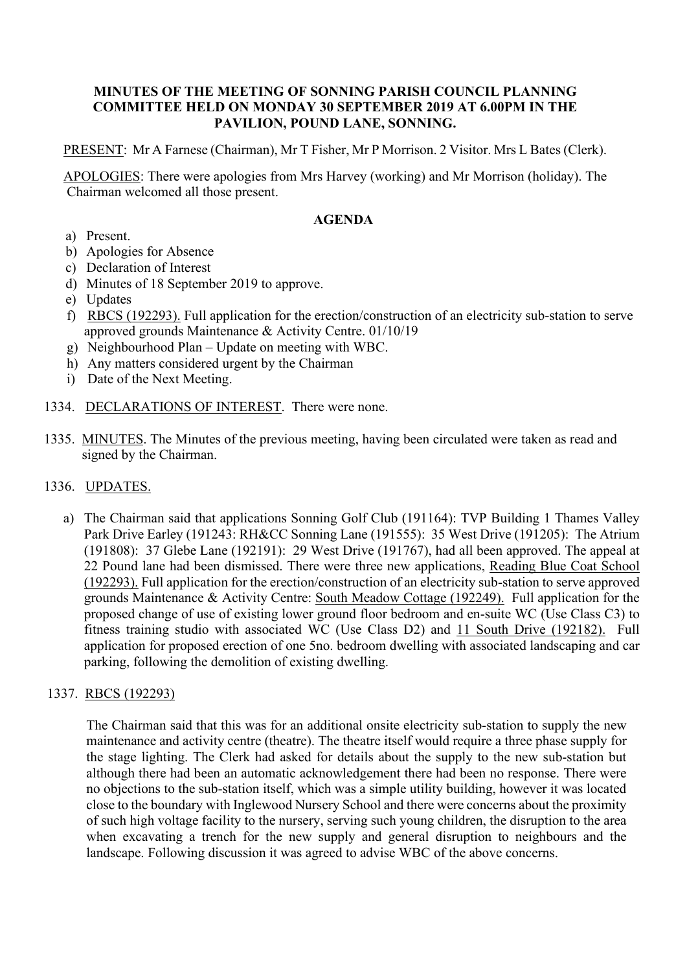### **MINUTES OF THE MEETING OF SONNING PARISH COUNCIL PLANNING COMMITTEE HELD ON MONDAY 30 SEPTEMBER 2019 AT 6.00PM IN THE PAVILION, POUND LANE, SONNING.**

PRESENT: Mr A Farnese (Chairman), Mr T Fisher, Mr P Morrison. 2 Visitor. Mrs L Bates (Clerk).

APOLOGIES: There were apologies from Mrs Harvey (working) and Mr Morrison (holiday). The Chairman welcomed all those present.

# **AGENDA**

- a) Present.
- b) Apologies for Absence
- c) Declaration of Interest
- d) Minutes of 18 September 2019 to approve.
- e) Updates
- f) RBCS (192293). Full application for the erection/construction of an electricity sub-station to serve approved grounds Maintenance & Activity Centre. 01/10/19
- g) Neighbourhood Plan Update on meeting with WBC.
- h) Any matters considered urgent by the Chairman
- i) Date of the Next Meeting.
- 1334. DECLARATIONS OF INTEREST. There were none.
- 1335. MINUTES. The Minutes of the previous meeting, having been circulated were taken as read and signed by the Chairman.

#### 1336. UPDATES.

a) The Chairman said that applications Sonning Golf Club (191164): TVP Building 1 Thames Valley Park Drive Earley (191243: RH&CC Sonning Lane (191555): 35 West Drive (191205): The Atrium (191808): 37 Glebe Lane (192191): 29 West Drive (191767), had all been approved. The appeal at 22 Pound lane had been dismissed. There were three new applications, Reading Blue Coat School (192293). Full application for the erection/construction of an electricity sub-station to serve approved grounds Maintenance & Activity Centre: South Meadow Cottage (192249). Full application for the proposed change of use of existing lower ground floor bedroom and en-suite WC (Use Class C3) to fitness training studio with associated WC (Use Class D2) and 11 South Drive (192182). Full application for proposed erection of one 5no. bedroom dwelling with associated landscaping and car parking, following the demolition of existing dwelling.

# 1337. RBCS (192293)

The Chairman said that this was for an additional onsite electricity sub-station to supply the new maintenance and activity centre (theatre). The theatre itself would require a three phase supply for the stage lighting. The Clerk had asked for details about the supply to the new sub-station but although there had been an automatic acknowledgement there had been no response. There were no objections to the sub-station itself, which was a simple utility building, however it was located close to the boundary with Inglewood Nursery School and there were concerns about the proximity of such high voltage facility to the nursery, serving such young children, the disruption to the area when excavating a trench for the new supply and general disruption to neighbours and the landscape. Following discussion it was agreed to advise WBC of the above concerns.